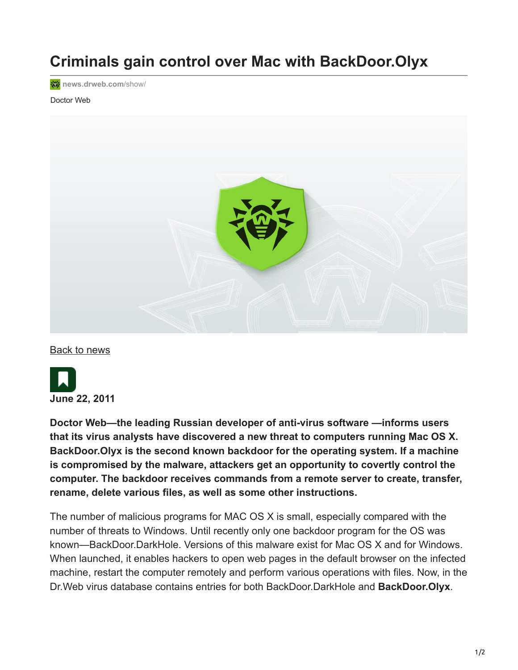# **Criminals gain control over Mac with BackDoor.Olyx**

**<sup>o</sup>** [news.drweb.com](https://news.drweb.com/show/?i=1750&lng=en&c=14)/show/

#### Doctor Web



[Back to news](https://news.drweb.com/list/?p=0&lng=en&c=5)



**Doctor Web—the leading Russian developer of anti-virus software —informs users that its virus analysts have discovered a new threat to computers running Mac OS X. BackDoor.Olyx is the second known backdoor for the operating system. If a machine is compromised by the malware, attackers get an opportunity to covertly control the computer. The backdoor receives commands from a remote server to create, transfer, rename, delete various files, as well as some other instructions.**

The number of malicious programs for MAC OS X is small, especially compared with the number of threats to Windows. Until recently only one backdoor program for the OS was known—BackDoor.DarkHole. Versions of this malware exist for Mac OS X and for Windows. When launched, it enables hackers to open web pages in the default browser on the infected machine, restart the computer remotely and perform various operations with files. Now, in the Dr.Web virus database contains entries for both BackDoor.DarkHole and **BackDoor.Olyx**.